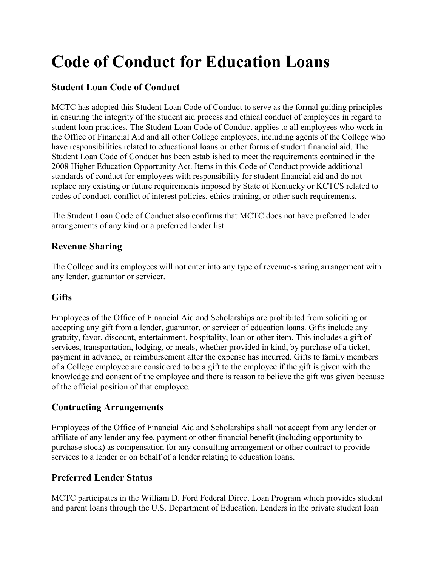# **Code of Conduct for Education Loans**

# **Student Loan Code of Conduct**

MCTC has adopted this Student Loan Code of Conduct to serve as the formal guiding principles in ensuring the integrity of the student aid process and ethical conduct of employees in regard to student loan practices. The Student Loan Code of Conduct applies to all employees who work in the Office of Financial Aid and all other College employees, including agents of the College who have responsibilities related to educational loans or other forms of student financial aid. The Student Loan Code of Conduct has been established to meet the requirements contained in the 2008 Higher Education Opportunity Act. Items in this Code of Conduct provide additional standards of conduct for employees with responsibility for student financial aid and do not replace any existing or future requirements imposed by State of Kentucky or KCTCS related to codes of conduct, conflict of interest policies, ethics training, or other such requirements.

The Student Loan Code of Conduct also confirms that MCTC does not have preferred lender arrangements of any kind or a preferred lender list

#### **Revenue Sharing**

The College and its employees will not enter into any type of revenue-sharing arrangement with any lender, guarantor or servicer.

## **Gifts**

Employees of the Office of Financial Aid and Scholarships are prohibited from soliciting or accepting any gift from a lender, guarantor, or servicer of education loans. Gifts include any gratuity, favor, discount, entertainment, hospitality, loan or other item. This includes a gift of services, transportation, lodging, or meals, whether provided in kind, by purchase of a ticket, payment in advance, or reimbursement after the expense has incurred. Gifts to family members of a College employee are considered to be a gift to the employee if the gift is given with the knowledge and consent of the employee and there is reason to believe the gift was given because of the official position of that employee.

#### **Contracting Arrangements**

Employees of the Office of Financial Aid and Scholarships shall not accept from any lender or affiliate of any lender any fee, payment or other financial benefit (including opportunity to purchase stock) as compensation for any consulting arrangement or other contract to provide services to a lender or on behalf of a lender relating to education loans.

## **Preferred Lender Status**

MCTC participates in the William D. Ford Federal Direct Loan Program which provides student and parent loans through the U.S. Department of Education. Lenders in the private student loan